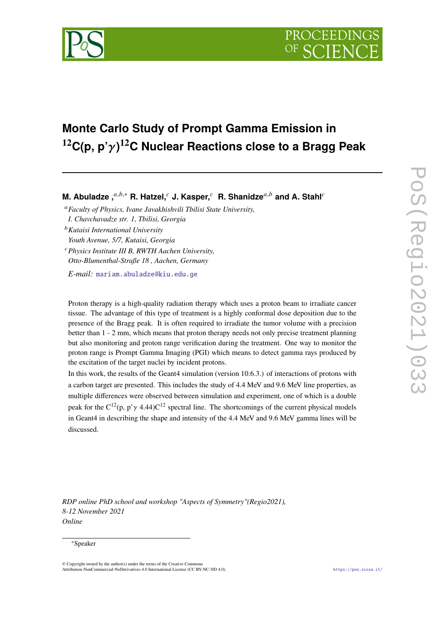

# **Monte Carlo Study of Prompt Gamma Emission in <sup>12</sup>C(p, p') <sup>12</sup>C Nuclear Reactions close to a Bragg Peak**

**M. Abuladze**, $a,b,*$  **R. Hatzel,**  $c$  **J. Kasper,**  $c$  **R. Shanidze**,  $a,b$  and A. Stahl<sup>c</sup>

*Faculty of Physics, Ivane Javakhishvili Tbilisi State University, I. Chavchavadze str. 1, Tbilisi, Georgia*

*Kutaisi International University*

*Youth Avenue, 5/7, Kutaisi, Georgia*

*Physics Institute III B, RWTH Aachen University, Otto-Blumenthal-Straße 18 , Aachen, Germany*

*E-mail:* [mariam.abuladze@kiu.edu.ge](mailto:mariam.abuladze@kiu.edu.ge)

Proton therapy is a high-quality radiation therapy which uses a proton beam to irradiate cancer tissue. The advantage of this type of treatment is a highly conformal dose deposition due to the presence of the Bragg peak. It is often required to irradiate the tumor volume with a precision better than 1 - 2 mm, which means that proton therapy needs not only precise treatment planning but also monitoring and proton range verification during the treatment. One way to monitor the proton range is Prompt Gamma Imaging (PGI) which means to detect gamma rays produced by the excitation of the target nuclei by incident protons.

In this work, the results of the Geant4 simulation (version 10.6.3.) of interactions of protons with a carbon target are presented. This includes the study of 4.4 MeV and 9.6 MeV line properties, as multiple differences were observed between simulation and experiment, one of which is a double peak for the  $C^{12}(p, p' \gamma 4.44)C^{12}$  spectral line. The shortcomings of the current physical models in Geant4 in describing the shape and intensity of the 4.4 MeV and 9.6 MeV gamma lines will be discussed.

*RDP online PhD school and workshop "Aspects of Symmetry"(Regio2021), 8-12 November 2021 Online*

#### <sup>∗</sup>Speaker

© Copyright owned by the author(s) under the terms of the Creative Commons Attribution-NonCommercial-NoDerivatives 4.0 International License (CC BY-NC-ND 4.0). <https://pos.sissa.it/>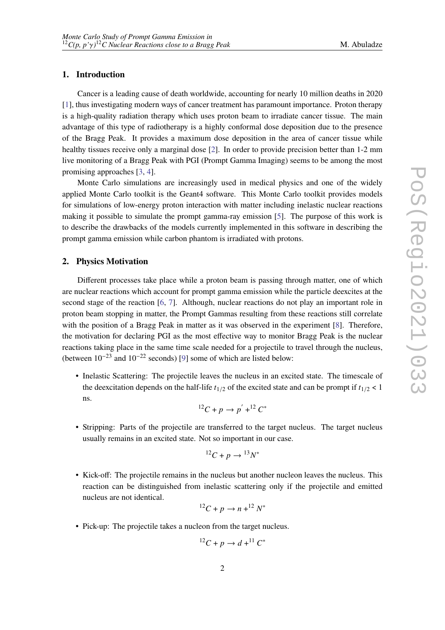# **1. Introduction**

Cancer is a leading cause of death worldwide, accounting for nearly 10 million deaths in 2020 [\[1\]](#page-6-0), thus investigating modern ways of cancer treatment has paramount importance. Proton therapy is a high-quality radiation therapy which uses proton beam to irradiate cancer tissue. The main advantage of this type of radiotherapy is a highly conformal dose deposition due to the presence of the Bragg Peak. It provides a maximum dose deposition in the area of cancer tissue while healthy tissues receive only a marginal dose [\[2\]](#page-6-1). In order to provide precision better than 1-2 mm live monitoring of a Bragg Peak with PGI (Prompt Gamma Imaging) seems to be among the most promising approaches [\[3,](#page-6-2) [4\]](#page-6-3).

Monte Carlo simulations are increasingly used in medical physics and one of the widely applied Monte Carlo toolkit is the Geant4 software. This Monte Carlo toolkit provides models for simulations of low-energy proton interaction with matter including inelastic nuclear reactions making it possible to simulate the prompt gamma-ray emission [\[5\]](#page-6-4). The purpose of this work is to describe the drawbacks of the models currently implemented in this software in describing the prompt gamma emission while carbon phantom is irradiated with protons.

# **2. Physics Motivation**

Different processes take place while a proton beam is passing through matter, one of which are nuclear reactions which account for prompt gamma emission while the particle deexcites at the second stage of the reaction [\[6,](#page-6-5) [7\]](#page-6-6). Although, nuclear reactions do not play an important role in proton beam stopping in matter, the Prompt Gammas resulting from these reactions still correlate with the position of a Bragg Peak in matter as it was observed in the experiment [\[8\]](#page-6-7). Therefore, the motivation for declaring PGI as the most effective way to monitor Bragg Peak is the nuclear reactions taking place in the same time scale needed for a projectile to travel through the nucleus, (between  $10^{-23}$  and  $10^{-22}$  seconds) [\[9\]](#page-6-8) some of which are listed below:

• Inelastic Scattering: The projectile leaves the nucleus in an excited state. The timescale of the deexcitation depends on the half-life  $t_{1/2}$  of the excited state and can be prompt if  $t_{1/2}$  < 1 ns.

$$
^{12}C + p \rightarrow p^{'} + ^{12}C^*
$$

• Stripping: Parts of the projectile are transferred to the target nucleus. The target nucleus usually remains in an excited state. Not so important in our case.

$$
^{12}C + p \rightarrow ^{13}N^*
$$

• Kick-off: The projectile remains in the nucleus but another nucleon leaves the nucleus. This reaction can be distinguished from inelastic scattering only if the projectile and emitted nucleus are not identical.

$$
^{12}C + p \rightarrow n + ^{12}N^*
$$

• Pick-up: The projectile takes a nucleon from the target nucleus.

$$
^{12}C + p \rightarrow d + ^{11}C^*
$$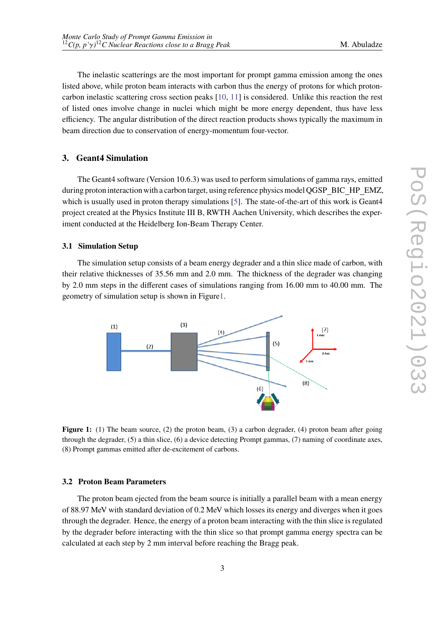The inelastic scatterings are the most important for prompt gamma emission among the ones listed above, while proton beam interacts with carbon thus the energy of protons for which protoncarbon inelastic scattering cross section peaks [\[10,](#page-6-9) [11\]](#page-6-10) is considered. Unlike this reaction the rest of listed ones involve change in nuclei which might be more energy dependent, thus have less efficiency. The angular distribution of the direct reaction products shows typically the maximum in beam direction due to conservation of energy-momentum four-vector.

# **3. Geant4 Simulation**

The Geant4 software (Version 10.6.3) was used to perform simulations of gamma rays, emitted during proton interaction with a carbon target, using reference physics model QGSP BIC HP EMZ, which is usually used in proton therapy simulations [\[5\]](#page-6-4). The state-of-the-art of this work is Geant4 project created at the Physics Institute III B, RWTH Aachen University, which describes the experiment conducted at the Heidelberg Ion-Beam Therapy Center.

# <span id="page-2-1"></span>**3.1 Simulation Setup**

The simulation setup consists of a beam energy degrader and a thin slice made of carbon, with their relative thicknesses of 35.56 mm and 2.0 mm. The thickness of the degrader was changing by 2.0 mm steps in the different cases of simulations ranging from 16.00 mm to 40.00 mm. The geometry of simulation setup is shown in Figur[e1.](#page-2-0)

<span id="page-2-0"></span>

**Figure 1:** (1) The beam source, (2) the proton beam, (3) a carbon degrader, (4) proton beam after going through the degrader, (5) a thin slice, (6) a device detecting Prompt gammas, (7) naming of coordinate axes, (8) Prompt gammas emitted after de-excitement of carbons.

#### **3.2 Proton Beam Parameters**

The proton beam ejected from the beam source is initially a parallel beam with a mean energy of 88.97 MeV with standard deviation of 0.2 MeV which losses its energy and diverges when it goes through the degrader. Hence, the energy of a proton beam interacting with the thin slice is regulated by the degrader before interacting with the thin slice so that prompt gamma energy spectra can be calculated at each step by 2 mm interval before reaching the Bragg peak.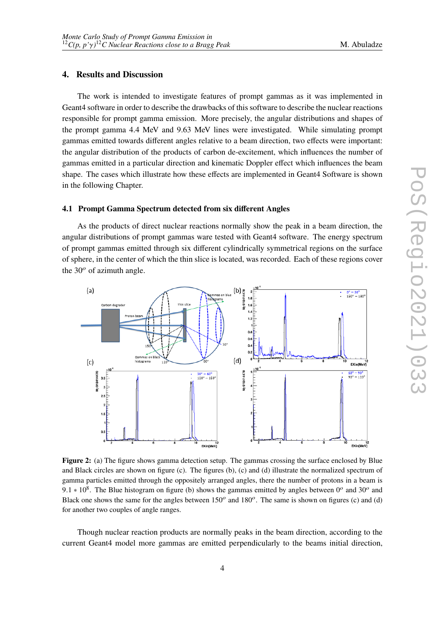# **4. Results and Discussion**

The work is intended to investigate features of prompt gammas as it was implemented in Geant4 software in order to describe the drawbacks of this software to describe the nuclear reactions responsible for prompt gamma emission. More precisely, the angular distributions and shapes of the prompt gamma 4.4 MeV and 9.63 MeV lines were investigated. While simulating prompt gammas emitted towards different angles relative to a beam direction, two effects were important: the angular distribution of the products of carbon de-excitement, which influences the number of gammas emitted in a particular direction and kinematic Doppler effect which influences the beam shape. The cases which illustrate how these effects are implemented in Geant4 Software is shown in the following Chapter.

#### <span id="page-3-1"></span>**4.1 Prompt Gamma Spectrum detected from six different Angles**

As the products of direct nuclear reactions normally show the peak in a beam direction, the angular distributions of prompt gammas ware tested with Geant4 software. The energy spectrum of prompt gammas emitted through six different cylindrically symmetrical regions on the surface of sphere, in the center of which the thin slice is located, was recorded. Each of these regions cover the  $30^{\circ}$  of azimuth angle.

<span id="page-3-0"></span>

**Figure 2:** (a) The figure shows gamma detection setup. The gammas crossing the surface enclosed by Blue and Black circles are shown on figure (c). The figures (b), (c) and (d) illustrate the normalized spectrum of gamma particles emitted through the oppositely arranged angles, there the number of protons in a beam is 9.1  $*$  10<sup>8</sup>. The Blue histogram on figure (b) shows the gammas emitted by angles between 0<sup>o</sup> and 30<sup>o</sup> and Black one shows the same for the angles between  $150^{\circ}$  and  $180^{\circ}$ . The same is shown on figures (c) and (d) for another two couples of angle ranges.

Though nuclear reaction products are normally peaks in the beam direction, according to the current Geant4 model more gammas are emitted perpendicularly to the beams initial direction,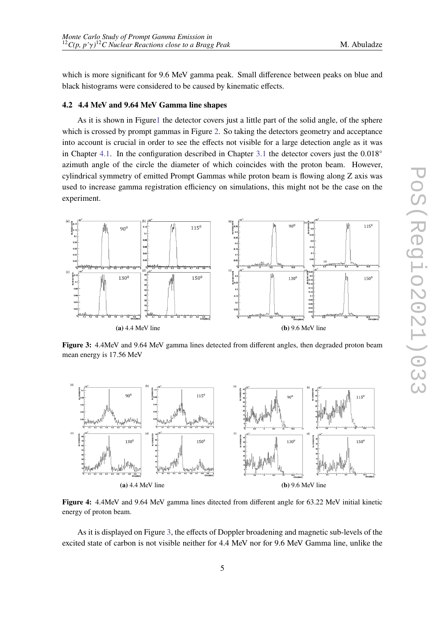which is more significant for 9.6 MeV gamma peak. Small difference between peaks on blue and black histograms were considered to be caused by kinematic effects.

#### **4.2 4.4 MeV and 9.64 MeV Gamma line shapes**

As it is shown in Figur[e1](#page-2-0) the detector covers just a little part of the solid angle, of the sphere which is crossed by prompt gammas in Figure [2.](#page-3-0) So taking the detectors geometry and acceptance into account is crucial in order to see the effects not visible for a large detection angle as it was in Chapter [4.1.](#page-3-1) In the configuration described in Chapter [3.1](#page-2-1) the detector covers just the  $0.018°$ azimuth angle of the circle the diameter of which coincides with the proton beam. However, cylindrical symmetry of emitted Prompt Gammas while proton beam is flowing along Z axis was used to increase gamma registration efficiency on simulations, this might not be the case on the experiment.

<span id="page-4-0"></span>

**Figure 3:** 4.4MeV and 9.64 MeV gamma lines detected from different angles, then degraded proton beam mean energy is 17.56 MeV

<span id="page-4-1"></span>

**Figure 4:** 4.4MeV and 9.64 MeV gamma lines ditected from different angle for 63.22 MeV initial kinetic energy of proton beam.

As it is displayed on Figure [3,](#page-4-0) the effects of Doppler broadening and magnetic sub-levels of the excited state of carbon is not visible neither for 4.4 MeV nor for 9.6 MeV Gamma line, unlike the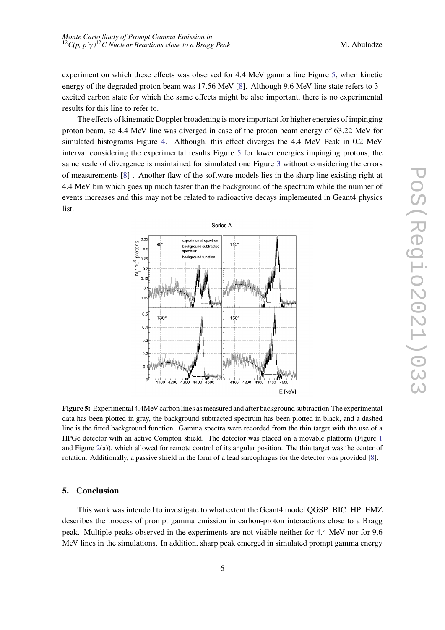experiment on which these effects was observed for 4.4 MeV gamma line Figure [5,](#page-5-0) when kinetic energy of the degraded proton beam was 17.56 MeV [\[8\]](#page-6-7). Although 9.6 MeV line state refers to 3<sup>-</sup> excited carbon state for which the same effects might be also important, there is no experimental results for this line to refer to.

The effects of kinematic Doppler broadening is more important for higher energies of impinging proton beam, so 4.4 MeV line was diverged in case of the proton beam energy of 63.22 MeV for simulated histograms Figure [4.](#page-4-1) Although, this effect diverges the 4.4 MeV Peak in 0.2 MeV interval considering the experimental results Figure [5](#page-5-0) for lower energies impinging protons, the same scale of divergence is maintained for simulated one Figure [3](#page-4-0) without considering the errors of measurements [\[8\]](#page-6-7) . Another flaw of the software models lies in the sharp line existing right at 4.4 MeV bin which goes up much faster than the background of the spectrum while the number of events increases and this may not be related to radioactive decays implemented in Geant4 physics list.

<span id="page-5-0"></span>

**Figure 5:** Experimental 4.4MeV carbon lines as measured and after background subtraction.The experimental data has been plotted in gray, the background subtracted spectrum has been plotted in black, and a dashed line is the fitted background function. Gamma spectra were recorded from the thin target with the use of a HPGe detector with an active Compton shield. The detector was placed on a movable platform (Figure [1](#page-2-0) and Figure [2\(](#page-3-0)a)), which allowed for remote control of its angular position. The thin target was the center of rotation. Additionally, a passive shield in the form of a lead sarcophagus for the detector was provided [\[8\]](#page-6-7).

# **5. Conclusion**

This work was intended to investigate to what extent the Geant4 model QGSP BIC HP EMZ describes the process of prompt gamma emission in carbon-proton interactions close to a Bragg peak. Multiple peaks observed in the experiments are not visible neither for 4.4 MeV nor for 9.6 MeV lines in the simulations. In addition, sharp peak emerged in simulated prompt gamma energy